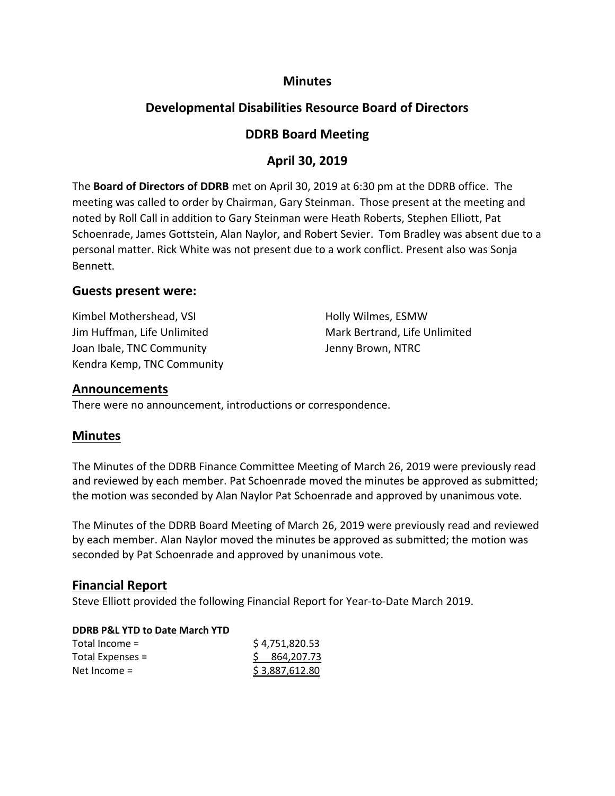# **Minutes**

# **Developmental Disabilities Resource Board of Directors**

# **DDRB Board Meeting**

# **April 30, 2019**

The **Board of Directors of DDRB** met on April 30, 2019 at 6:30 pm at the DDRB office. The meeting was called to order by Chairman, Gary Steinman. Those present at the meeting and noted by Roll Call in addition to Gary Steinman were Heath Roberts, Stephen Elliott, Pat Schoenrade, James Gottstein, Alan Naylor, and Robert Sevier. Tom Bradley was absent due to a personal matter. Rick White was not present due to a work conflict. Present also was Sonja Bennett.

## **Guests present were:**

Kimbel Mothershead, VSI Holly Wilmes, ESMW Jim Huffman, Life Unlimited Mark Bertrand, Life Unlimited Joan Ibale, TNC Community **Source Accommunity** Jenny Brown, NTRC Kendra Kemp, TNC Community

## **Announcements**

There were no announcement, introductions or correspondence.

# **Minutes**

The Minutes of the DDRB Finance Committee Meeting of March 26, 2019 were previously read and reviewed by each member. Pat Schoenrade moved the minutes be approved as submitted; the motion was seconded by Alan Naylor Pat Schoenrade and approved by unanimous vote.

The Minutes of the DDRB Board Meeting of March 26, 2019 were previously read and reviewed by each member. Alan Naylor moved the minutes be approved as submitted; the motion was seconded by Pat Schoenrade and approved by unanimous vote.

## **Financial Report**

Steve Elliott provided the following Financial Report for Year-to-Date March 2019.

### **DDRB P&L YTD to Date March YTD**

| Total Income $=$   | \$4,751,820.53 |  |  |
|--------------------|----------------|--|--|
| Total Expenses $=$ | \$ 864,207.73  |  |  |
| Net Income $=$     | \$3,887,612.80 |  |  |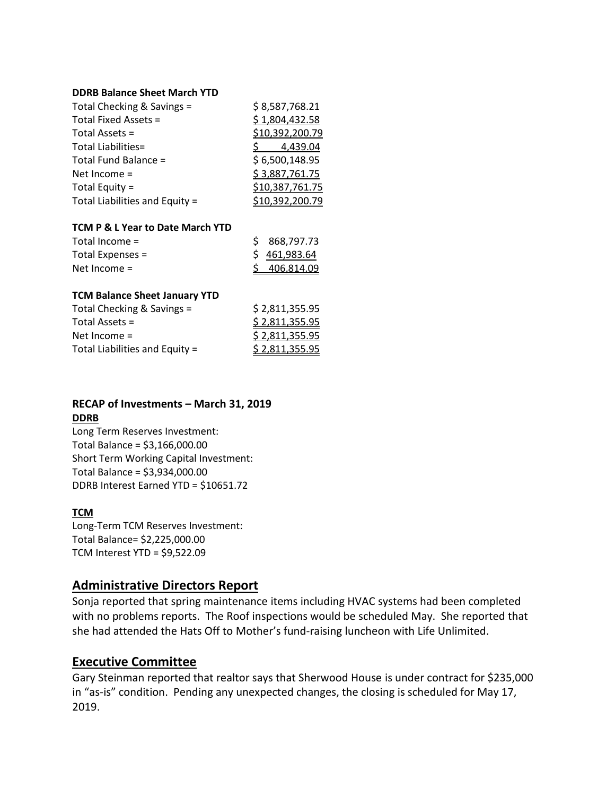#### **DDRB Balance Sheet March YTD**

| Total Checking & Savings =     | \$8,587,768.21  |
|--------------------------------|-----------------|
| Total Fixed Assets =           | \$1,804,432.58  |
| Total Assets =                 | \$10,392,200.79 |
| Total Liabilities=             | 4,439.04        |
| Total Fund Balance =           | \$6,500,148.95  |
| Net Income $=$                 | \$3,887,761.75  |
| Total Equity =                 | \$10,387,761.75 |
| Total Liabilities and Equity = | \$10,392,200.79 |

#### **TCM P & L Year to Date March YTD**

| Total Income $=$ | \$868,797.73 |
|------------------|--------------|
| Total Expenses = | \$461,983.64 |
| Net Income $=$   | \$406,814.09 |

#### **TCM Balance Sheet January YTD**

| \$2,811,355.95 |
|----------------|
| \$2,811,355.95 |
| \$2,811,355.95 |
| \$2,811,355.95 |
|                |

### **RECAP of Investments – March 31, 2019 DDRB**

Long Term Reserves Investment: Total Balance = \$3,166,000.00 Short Term Working Capital Investment: Total Balance = \$3,934,000.00 DDRB Interest Earned YTD = \$10651.72

#### **TCM**

Long-Term TCM Reserves Investment: Total Balance= \$2,225,000.00 TCM Interest YTD = \$9,522.09

## **Administrative Directors Report**

Sonja reported that spring maintenance items including HVAC systems had been completed with no problems reports. The Roof inspections would be scheduled May. She reported that she had attended the Hats Off to Mother's fund-raising luncheon with Life Unlimited.

## **Executive Committee**

Gary Steinman reported that realtor says that Sherwood House is under contract for \$235,000 in "as-is" condition. Pending any unexpected changes, the closing is scheduled for May 17, 2019.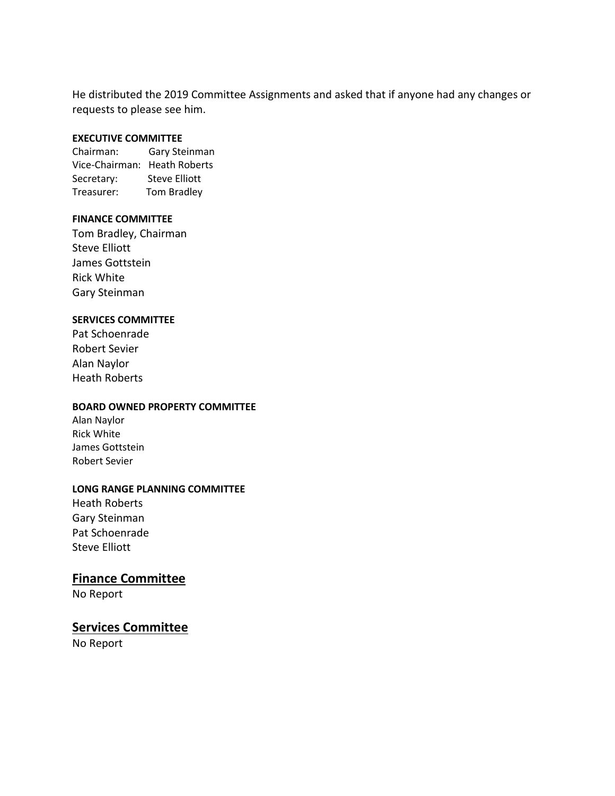He distributed the 2019 Committee Assignments and asked that if anyone had any changes or requests to please see him.

#### **EXECUTIVE COMMITTEE**

Chairman: Gary Steinman Vice-Chairman: Heath Roberts Secretary: Steve Elliott Treasurer: Tom Bradley

#### **FINANCE COMMITTEE**

Tom Bradley, Chairman Steve Elliott James Gottstein Rick White Gary Steinman

#### **SERVICES COMMITTEE**

Pat Schoenrade Robert Sevier Alan Naylor Heath Roberts

#### **BOARD OWNED PROPERTY COMMITTEE**

Alan Naylor Rick White James Gottstein Robert Sevier

### **LONG RANGE PLANNING COMMITTEE**

Heath Roberts Gary Steinman Pat Schoenrade Steve Elliott

### **Finance Committee**

No Report

## **Services Committee**

No Report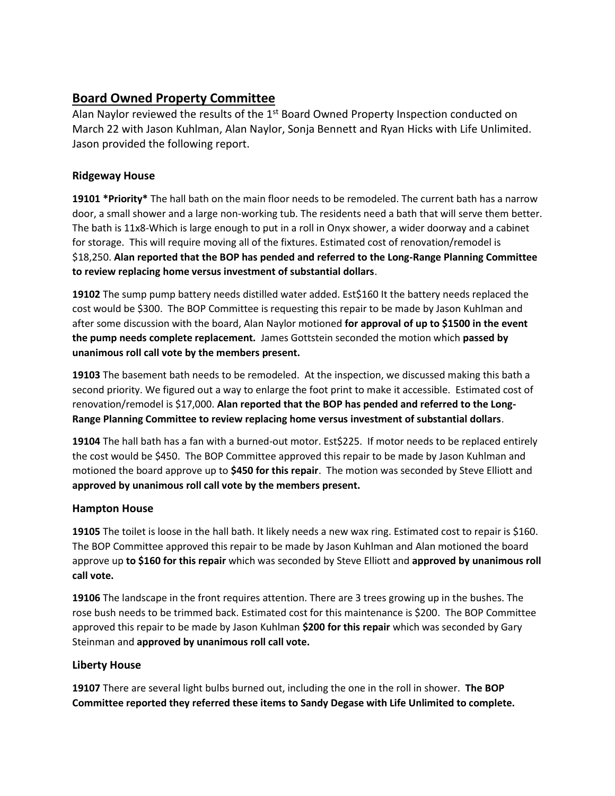# **Board Owned Property Committee**

Alan Naylor reviewed the results of the  $1<sup>st</sup>$  Board Owned Property Inspection conducted on March 22 with Jason Kuhlman, Alan Naylor, Sonja Bennett and Ryan Hicks with Life Unlimited. Jason provided the following report.

## **Ridgeway House**

**19101 \*Priority\*** The hall bath on the main floor needs to be remodeled. The current bath has a narrow door, a small shower and a large non-working tub. The residents need a bath that will serve them better. The bath is 11x8-Which is large enough to put in a roll in Onyx shower, a wider doorway and a cabinet for storage. This will require moving all of the fixtures. Estimated cost of renovation/remodel is \$18,250. **Alan reported that the BOP has pended and referred to the Long-Range Planning Committee to review replacing home versus investment of substantial dollars**.

**19102** The sump pump battery needs distilled water added. Est\$160 It the battery needs replaced the cost would be \$300. The BOP Committee is requesting this repair to be made by Jason Kuhlman and after some discussion with the board, Alan Naylor motioned **for approval of up to \$1500 in the event the pump needs complete replacement.** James Gottstein seconded the motion which **passed by unanimous roll call vote by the members present.**

**19103** The basement bath needs to be remodeled. At the inspection, we discussed making this bath a second priority. We figured out a way to enlarge the foot print to make it accessible. Estimated cost of renovation/remodel is \$17,000. **Alan reported that the BOP has pended and referred to the Long-Range Planning Committee to review replacing home versus investment of substantial dollars**.

**19104** The hall bath has a fan with a burned-out motor. Est\$225. If motor needs to be replaced entirely the cost would be \$450. The BOP Committee approved this repair to be made by Jason Kuhlman and motioned the board approve up to **\$450 for this repair**. The motion was seconded by Steve Elliott and **approved by unanimous roll call vote by the members present.**

## **Hampton House**

**19105** The toilet is loose in the hall bath. It likely needs a new wax ring. Estimated cost to repair is \$160. The BOP Committee approved this repair to be made by Jason Kuhlman and Alan motioned the board approve up **to \$160 for this repair** which was seconded by Steve Elliott and **approved by unanimous roll call vote.**

**19106** The landscape in the front requires attention. There are 3 trees growing up in the bushes. The rose bush needs to be trimmed back. Estimated cost for this maintenance is \$200. The BOP Committee approved this repair to be made by Jason Kuhlman **\$200 for this repair** which was seconded by Gary Steinman and **approved by unanimous roll call vote.**

### **Liberty House**

**19107** There are several light bulbs burned out, including the one in the roll in shower. **The BOP Committee reported they referred these items to Sandy Degase with Life Unlimited to complete.**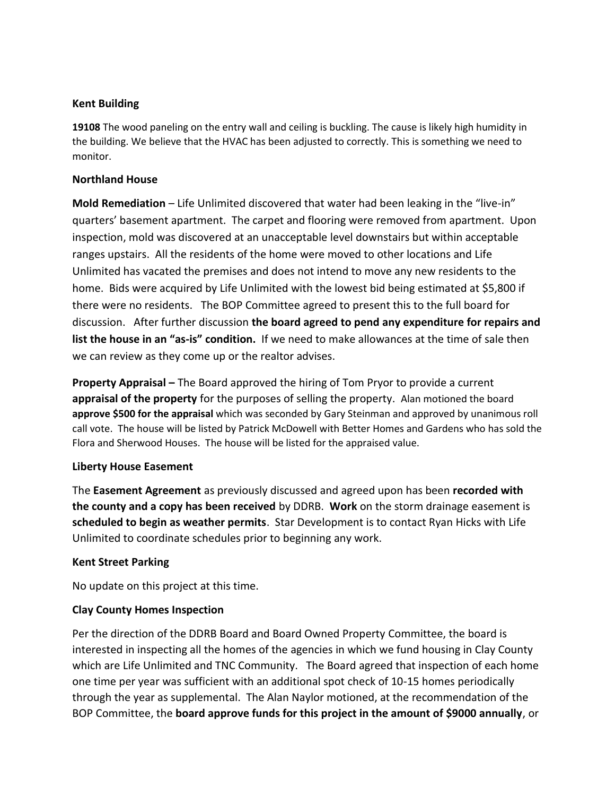### **Kent Building**

**19108** The wood paneling on the entry wall and ceiling is buckling. The cause is likely high humidity in the building. We believe that the HVAC has been adjusted to correctly. This is something we need to monitor.

### **Northland House**

**Mold Remediation** – Life Unlimited discovered that water had been leaking in the "live-in" quarters' basement apartment. The carpet and flooring were removed from apartment. Upon inspection, mold was discovered at an unacceptable level downstairs but within acceptable ranges upstairs. All the residents of the home were moved to other locations and Life Unlimited has vacated the premises and does not intend to move any new residents to the home. Bids were acquired by Life Unlimited with the lowest bid being estimated at \$5,800 if there were no residents. The BOP Committee agreed to present this to the full board for discussion. After further discussion **the board agreed to pend any expenditure for repairs and list the house in an "as-is" condition.** If we need to make allowances at the time of sale then we can review as they come up or the realtor advises.

**Property Appraisal –** The Board approved the hiring of Tom Pryor to provide a current **appraisal of the property** for the purposes of selling the property. Alan motioned the board **approve \$500 for the appraisal** which was seconded by Gary Steinman and approved by unanimous roll call vote. The house will be listed by Patrick McDowell with Better Homes and Gardens who has sold the Flora and Sherwood Houses. The house will be listed for the appraised value.

### **Liberty House Easement**

The **Easement Agreement** as previously discussed and agreed upon has been **recorded with the county and a copy has been received** by DDRB. **Work** on the storm drainage easement is **scheduled to begin as weather permits**. Star Development is to contact Ryan Hicks with Life Unlimited to coordinate schedules prior to beginning any work.

### **Kent Street Parking**

No update on this project at this time.

### **Clay County Homes Inspection**

Per the direction of the DDRB Board and Board Owned Property Committee, the board is interested in inspecting all the homes of the agencies in which we fund housing in Clay County which are Life Unlimited and TNC Community. The Board agreed that inspection of each home one time per year was sufficient with an additional spot check of 10-15 homes periodically through the year as supplemental. The Alan Naylor motioned, at the recommendation of the BOP Committee, the **board approve funds for this project in the amount of \$9000 annually**, or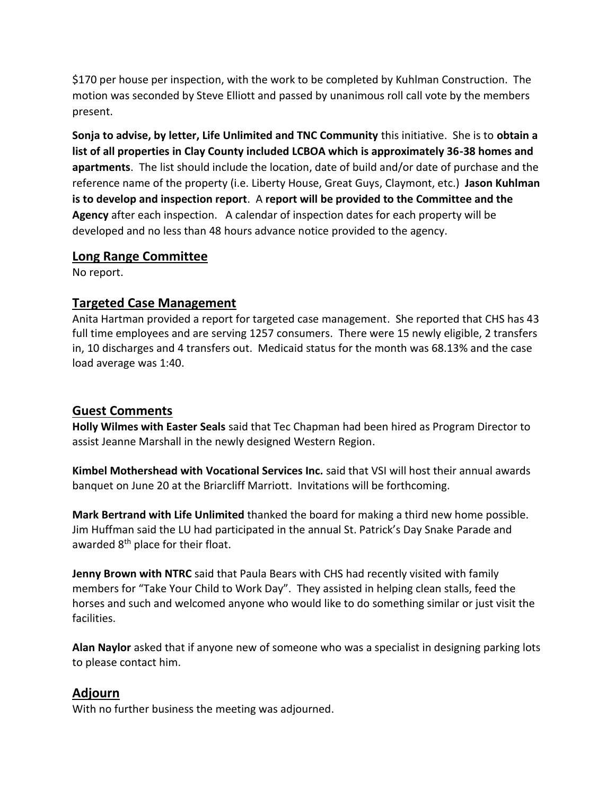\$170 per house per inspection, with the work to be completed by Kuhlman Construction. The motion was seconded by Steve Elliott and passed by unanimous roll call vote by the members present.

**Sonja to advise, by letter, Life Unlimited and TNC Community** this initiative. She is to **obtain a list of all properties in Clay County included LCBOA which is approximately 36-38 homes and apartments**. The list should include the location, date of build and/or date of purchase and the reference name of the property (i.e. Liberty House, Great Guys, Claymont, etc.) **Jason Kuhlman is to develop and inspection report**. A **report will be provided to the Committee and the Agency** after each inspection. A calendar of inspection dates for each property will be developed and no less than 48 hours advance notice provided to the agency.

## **Long Range Committee**

No report.

## **Targeted Case Management**

Anita Hartman provided a report for targeted case management. She reported that CHS has 43 full time employees and are serving 1257 consumers. There were 15 newly eligible, 2 transfers in, 10 discharges and 4 transfers out. Medicaid status for the month was 68.13% and the case load average was 1:40.

## **Guest Comments**

**Holly Wilmes with Easter Seals** said that Tec Chapman had been hired as Program Director to assist Jeanne Marshall in the newly designed Western Region.

**Kimbel Mothershead with Vocational Services Inc.** said that VSI will host their annual awards banquet on June 20 at the Briarcliff Marriott. Invitations will be forthcoming.

**Mark Bertrand with Life Unlimited** thanked the board for making a third new home possible. Jim Huffman said the LU had participated in the annual St. Patrick's Day Snake Parade and awarded 8<sup>th</sup> place for their float.

**Jenny Brown with NTRC** said that Paula Bears with CHS had recently visited with family members for "Take Your Child to Work Day". They assisted in helping clean stalls, feed the horses and such and welcomed anyone who would like to do something similar or just visit the facilities.

**Alan Naylor** asked that if anyone new of someone who was a specialist in designing parking lots to please contact him.

# **Adjourn**

With no further business the meeting was adjourned.